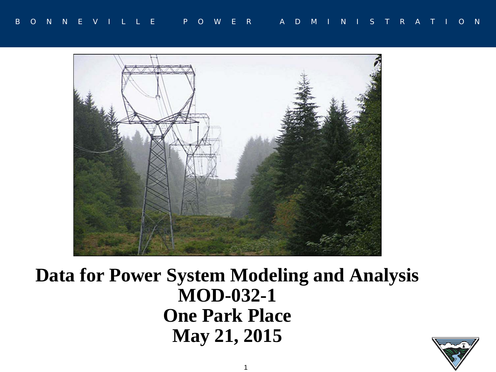

### **Data for Power System Modeling and Analysis MOD-032-1 One Park Place May 21, 2015**

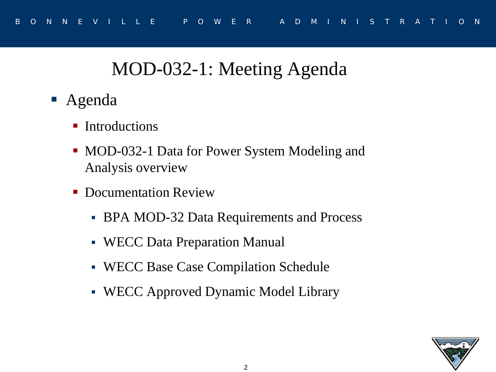## MOD-032-1: Meeting Agenda

- Agenda
	- **Introductions**
	- MOD-032-1 Data for Power System Modeling and Analysis overview
	- Documentation Review
		- **BPA MOD-32 Data Requirements and Process**
		- WECC Data Preparation Manual
		- WECC Base Case Compilation Schedule
		- WECC Approved Dynamic Model Library

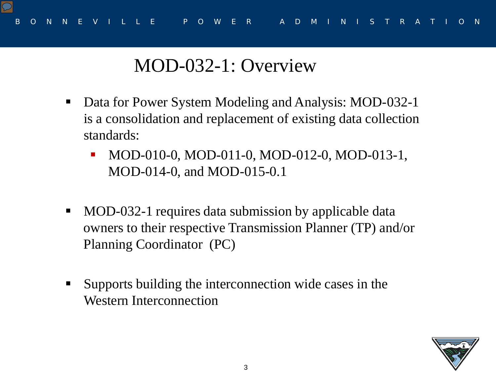

# MOD-032-1: Overview

- Data for Power System Modeling and Analysis: MOD-032-1 is a consolidation and replacement of existing data collection standards:
	- MOD-010-0, MOD-011-0, MOD-012-0, MOD-013-1, MOD-014-0, and MOD-015-0.1
- MOD-032-1 requires data submission by applicable data owners to their respective Transmission Planner (TP) and/or Planning Coordinator (PC)
- Supports building the interconnection wide cases in the Western Interconnection

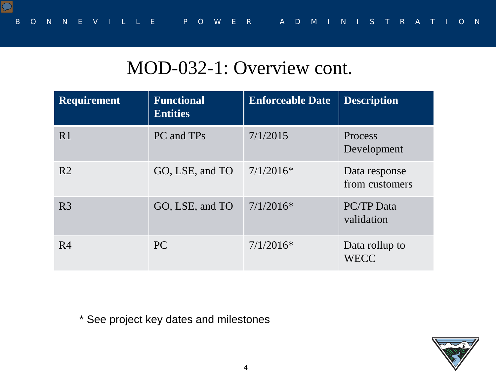## MOD-032-1: Overview cont.

| <b>Requirement</b> | <b>Functional</b><br><b>Entities</b> | <b>Enforceable Date</b> | <b>Description</b>              |
|--------------------|--------------------------------------|-------------------------|---------------------------------|
| R <sub>1</sub>     | PC and TPs                           | 7/1/2015                | Process<br>Development          |
| R <sub>2</sub>     | GO, LSE, and TO                      | $7/1/2016*$             | Data response<br>from customers |
| R <sub>3</sub>     | GO, LSE, and TO                      | $7/1/2016*$             | <b>PC/TP</b> Data<br>validation |
| R <sub>4</sub>     | PC                                   | $7/1/2016*$             | Data rollup to<br><b>WECC</b>   |

\* See project key dates and milestones

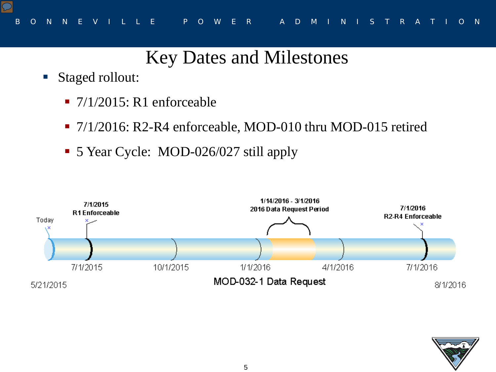# Key Dates and Milestones

- Staged rollout:
	- $\blacksquare$  7/1/2015: R1 enforceable
	- 7/1/2016: R2-R4 enforceable, MOD-010 thru MOD-015 retired
	- 5 Year Cycle: MOD-026/027 still apply



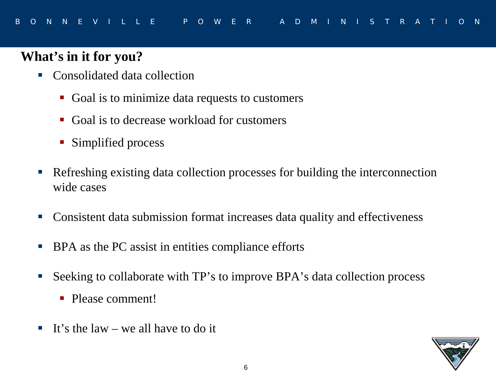#### **What's in it for you?**

- Consolidated data collection
	- Goal is to minimize data requests to customers
	- Goal is to decrease workload for customers
	- Simplified process
- Refreshing existing data collection processes for building the interconnection wide cases
- Consistent data submission format increases data quality and effectiveness
- **BPA** as the PC assist in entities compliance efforts
- Seeking to collaborate with TP's to improve BPA's data collection process
	- Please comment!
- It's the law we all have to do it

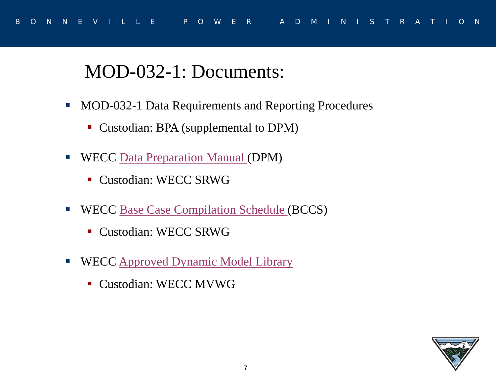## MOD-032-1: Documents:

- **MOD-032-1 Data Requirements and Reporting Procedures** 
	- Custodian: BPA (supplemental to DPM)
- **WECC** [Data Preparation Manual \(](https://www.wecc.biz/Reliability/WECC_Data_Preparation_Manual.docx)DPM)
	- Custodian: WECC SRWG
- **WECC [Base Case Compilation Schedule](https://www.wecc.biz/_layouts/15/WopiFrame.aspx?sourcedoc=/Reliability/2016_Base_Case_Compilation_Schedule-DRAFT-BCCS.doc&action=default&DefaultItemOpen=1) (BCCS)** 
	- Custodian: WECC SRWG
- WECC [Approved Dynamic Model Library](https://www.wecc.biz/Reliability/WECC-Approved-Dynamic-Model-Library.pdf)
	- Custodian: WECC MVWG

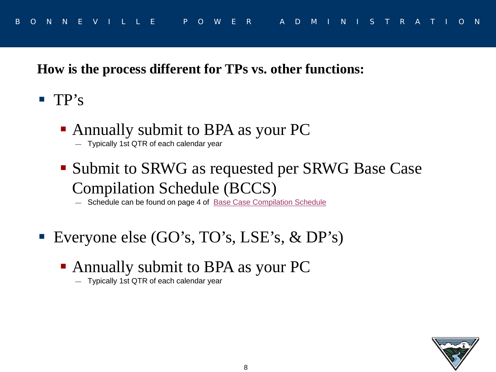#### **How is the process different for TPs vs. other functions:**

- $\blacksquare$  TP's
	- Annually submit to BPA as your PC
		- Typically 1st QTR of each calendar year
	- **Submit to SRWG as requested per SRWG Base Case** Compilation Schedule (BCCS)

- Schedule can be found on page 4 of [Base Case Compilation Schedule](https://www.wecc.biz/Reliability/2015_Base_Case_Compilation_Schedule-v4.doc)

- Everyone else (GO's, TO's, LSE's, & DP's)
	- Annually submit to BPA as your PC
		- Typically 1st QTR of each calendar year

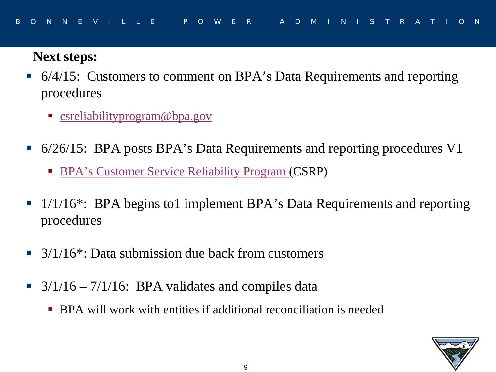#### **Next steps:**

- 6/4/15: Customers to comment on BPA's Data Requirements and reporting procedures
	- **Casabilityprogram@bpa.gov**
- 6/26/15: BPA posts BPA's Data Requirements and reporting procedures V1
	- **[BPA's Customer Service Reliability Program](http://www.bpa.gov/transmission/OperationsReliability/ReliabilityProgramandNERCStandards/Pages/Projects.aspx) (CSRP)**
- $\blacksquare$  1/1/16<sup>\*</sup>: BPA begins to1 implement BPA's Data Requirements and reporting procedures
- 3/1/16\*: Data submission due back from customers
- $\blacksquare$  3/1/16 7/1/16: BPA validates and compiles data
	- BPA will work with entities if additional reconciliation is needed